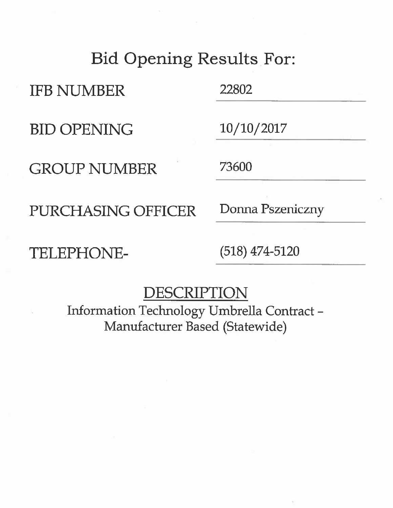## **Bid Opening Results For:**

**IFB NUMBER** 

**BID OPENING** 

**GROUP NUMBER** 

PURCHASING OFFICER

TELEPHONE-

22802

 $10/10/2017$ 

73600

Donna Pszeniczny

 $(518)$  474-5120

## DESCRIPTION

Information Technology Umbrella Contract-Manufacturer Based (Statewide)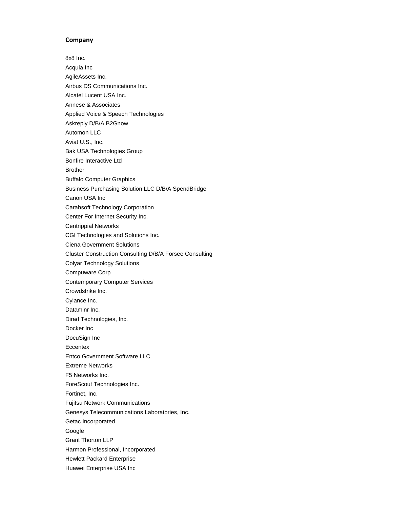## **Company**

8x8 Inc. Acquia Inc AgileAssets Inc. Airbus DS Communications Inc. Alcatel Lucent USA Inc. Annese & Associates Applied Voice & Speech Technologies Askreply D/B/A B2Gnow Automon LLC Aviat U.S., Inc. Bak USA Technologies Group Bonfire Interactive Ltd Brother Buffalo Computer Graphics Business Purchasing Solution LLC D/B/A SpendBridge Canon USA Inc Carahsoft Technology Corporation Center For Internet Security Inc. Centrippial Networks CGI Technologies and Solutions Inc. Ciena Government Solutions Cluster Construction Consulting D/B/A Forsee Consulting Colyar Technology Solutions Compuware Corp Contemporary Computer Services Crowdstrike Inc. Cylance Inc. Dataminr Inc. Dirad Technologies, Inc. Docker Inc DocuSign Inc **Eccentex** Entco Government Software LLC Extreme Networks F5 Networks Inc. ForeScout Technologies Inc. Fortinet, Inc. Fujitsu Network Communications Genesys Telecommunications Laboratories, Inc. Getac Incorporated Google Grant Thorton LLP Harmon Professional, Incorporated Hewlett Packard Enterprise Huawei Enterprise USA Inc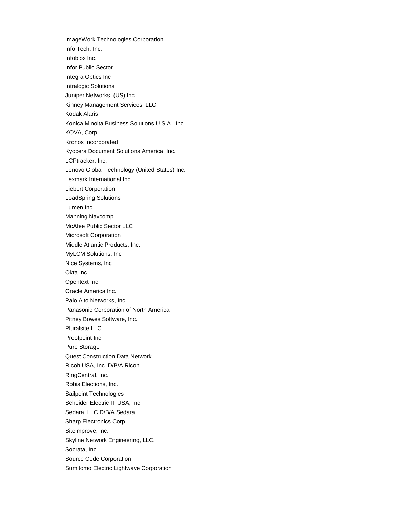ImageWork Technologies Corporation Info Tech, Inc. Infoblox Inc. Infor Public Sector Integra Optics Inc Intralogic Solutions Juniper Networks, (US) Inc. Kinney Management Services, LLC Kodak Alaris Konica Minolta Business Solutions U.S.A., Inc. KOVA, Corp. Kronos Incorporated Kyocera Document Solutions America, Inc. LCPtracker, Inc. Lenovo Global Technology (United States) Inc. Lexmark International Inc. Liebert Corporation LoadSpring Solutions Lumen Inc Manning Navcomp McAfee Public Sector LLC Microsoft Corporation Middle Atlantic Products, Inc. MyLCM Solutions, Inc Nice Systems, Inc Okta Inc Opentext Inc Oracle America Inc. Palo Alto Networks, Inc. Panasonic Corporation of North America Pitney Bowes Software, Inc. Pluralsite LLC Proofpoint Inc. Pure Storage Quest Construction Data Network Ricoh USA, Inc. D/B/A Ricoh RingCentral, Inc. Robis Elections, Inc. Sailpoint Technologies Scheider Electric IT USA, Inc. Sedara, LLC D/B/A Sedara Sharp Electronics Corp Siteimprove, Inc. Skyline Network Engineering, LLC. Socrata, Inc. Source Code Corporation Sumitomo Electric Lightwave Corporation